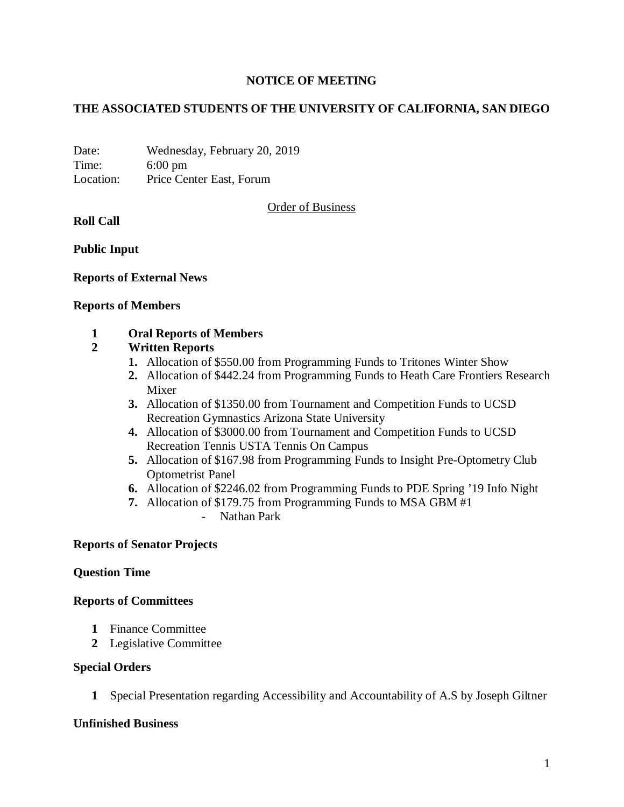### **NOTICE OF MEETING**

### **THE ASSOCIATED STUDENTS OF THE UNIVERSITY OF CALIFORNIA, SAN DIEGO**

Date: Wednesday, February 20, 2019 Time: 6:00 pm Location: Price Center East, Forum

Order of Business

**Roll Call**

**Public Input**

**Reports of External News**

#### **Reports of Members**

### **1 Oral Reports of Members**

### **2 Written Reports**

- **1.** Allocation of \$550.00 from Programming Funds to Tritones Winter Show
- **2.** Allocation of \$442.24 from Programming Funds to Heath Care Frontiers Research Mixer
- **3.** Allocation of \$1350.00 from Tournament and Competition Funds to UCSD Recreation Gymnastics Arizona State University
- **4.** Allocation of \$3000.00 from Tournament and Competition Funds to UCSD Recreation Tennis USTA Tennis On Campus
- **5.** Allocation of \$167.98 from Programming Funds to Insight Pre-Optometry Club Optometrist Panel
- **6.** Allocation of \$2246.02 from Programming Funds to PDE Spring '19 Info Night
- **7.** Allocation of \$179.75 from Programming Funds to MSA GBM #1 - Nathan Park

#### **Reports of Senator Projects**

#### **Question Time**

#### **Reports of Committees**

- **1** Finance Committee
- **2** Legislative Committee

#### **Special Orders**

**1** Special Presentation regarding Accessibility and Accountability of A.S by Joseph Giltner

### **Unfinished Business**